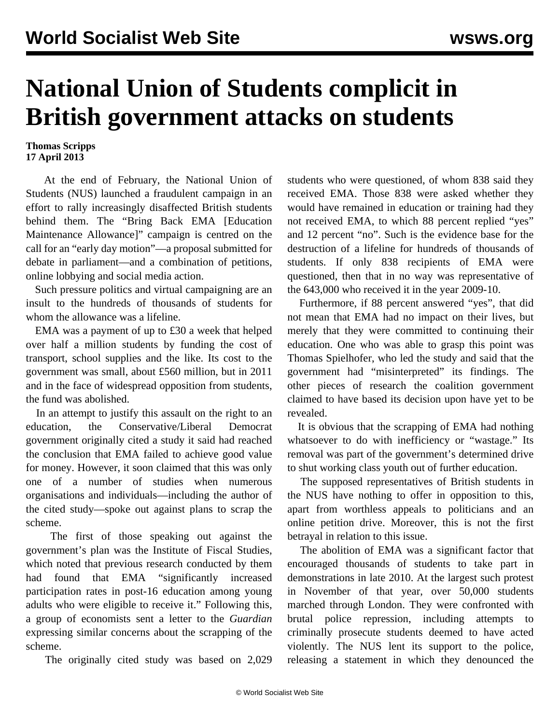## **National Union of Students complicit in British government attacks on students**

## **Thomas Scripps 17 April 2013**

 At the end of February, the National Union of Students (NUS) launched a fraudulent campaign in an effort to rally increasingly disaffected British students behind them. The "Bring Back EMA [Education Maintenance Allowance]" campaign is centred on the call for an "early day motion"—a proposal submitted for debate in parliament—and a combination of petitions, online lobbying and social media action.

 Such pressure politics and virtual campaigning are an insult to the hundreds of thousands of students for whom the allowance was a lifeline.

 EMA was a payment of up to £30 a week that helped over half a million students by funding the cost of transport, school supplies and the like. Its cost to the government was small, about £560 million, but in 2011 and in the face of widespread opposition from students, the fund was abolished.

 In an attempt to justify this assault on the right to an education, the Conservative/Liberal Democrat government originally cited a study it said had reached the conclusion that EMA failed to achieve good value for money. However, it soon claimed that this was only one of a number of studies when numerous organisations and individuals—including the author of the cited study—spoke out against plans to scrap the scheme.

 The first of those speaking out against the government's plan was the Institute of Fiscal Studies, which noted that previous research conducted by them had found that EMA "significantly increased participation rates in post-16 education among young adults who were eligible to receive it." Following this, a group of economists sent a letter to the *Guardian* expressing similar concerns about the scrapping of the scheme.

The originally cited study was based on 2,029

students who were questioned, of whom 838 said they received EMA. Those 838 were asked whether they would have remained in education or training had they not received EMA, to which 88 percent replied "yes" and 12 percent "no". Such is the evidence base for the destruction of a lifeline for hundreds of thousands of students. If only 838 recipients of EMA were questioned, then that in no way was representative of the 643,000 who received it in the year 2009-10.

 Furthermore, if 88 percent answered "yes", that did not mean that EMA had no impact on their lives, but merely that they were committed to continuing their education. One who was able to grasp this point was Thomas Spielhofer, who led the study and said that the government had "misinterpreted" its findings. The other pieces of research the coalition government claimed to have based its decision upon have yet to be revealed.

 It is obvious that the scrapping of EMA had nothing whatsoever to do with inefficiency or "wastage." Its removal was part of the government's determined drive to shut working class youth out of further education.

 The supposed representatives of British students in the NUS have nothing to offer in opposition to this, apart from worthless appeals to politicians and an online petition drive. Moreover, this is not the first betrayal in relation to this issue.

 The abolition of EMA was a significant factor that encouraged thousands of students to take part in demonstrations in late 2010. At the largest such protest in November of that year, over 50,000 students marched through London. They were confronted with brutal police repression, including attempts to criminally prosecute students deemed to have acted violently. The NUS lent its support to the police, releasing a statement in which they denounced the